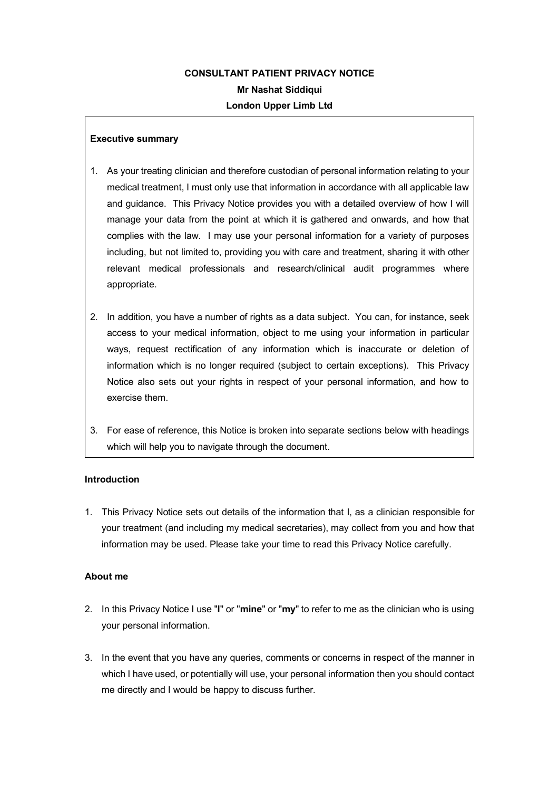# **CONSULTANT PATIENT PRIVACY NOTICE Mr Nashat Siddiqui London Upper Limb Ltd**

# **Executive summary**

- 1. As your treating clinician and therefore custodian of personal information relating to your medical treatment, I must only use that information in accordance with all applicable law and guidance. This Privacy Notice provides you with a detailed overview of how I will manage your data from the point at which it is gathered and onwards, and how that complies with the law. I may use your personal information for a variety of purposes including, but not limited to, providing you with care and treatment, sharing it with other relevant medical professionals and research/clinical audit programmes where appropriate.
- 2. In addition, you have a number of rights as a data subject. You can, for instance, seek access to your medical information, object to me using your information in particular ways, request rectification of any information which is inaccurate or deletion of information which is no longer required (subject to certain exceptions). This Privacy Notice also sets out your rights in respect of your personal information, and how to exercise them.
- 3. For ease of reference, this Notice is broken into separate sections below with headings which will help you to navigate through the document.

# **Introduction**

1. This Privacy Notice sets out details of the information that I, as a clinician responsible for your treatment (and including my medical secretaries), may collect from you and how that information may be used. Please take your time to read this Privacy Notice carefully.

# **About me**

- 2. In this Privacy Notice I use "**I**" or "**mine**" or "**my**" to refer to me as the clinician who is using your personal information.
- 3. In the event that you have any queries, comments or concerns in respect of the manner in which I have used, or potentially will use, your personal information then you should contact me directly and I would be happy to discuss further.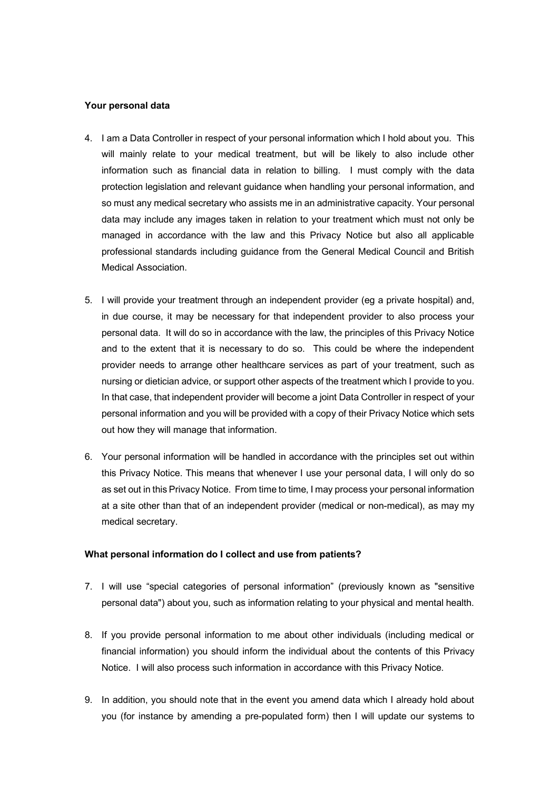#### **Your personal data**

- 4. I am a Data Controller in respect of your personal information which I hold about you. This will mainly relate to your medical treatment, but will be likely to also include other information such as financial data in relation to billing. I must comply with the data protection legislation and relevant guidance when handling your personal information, and so must any medical secretary who assists me in an administrative capacity. Your personal data may include any images taken in relation to your treatment which must not only be managed in accordance with the law and this Privacy Notice but also all applicable professional standards including guidance from the General Medical Council and British Medical Association.
- 5. I will provide your treatment through an independent provider (eg a private hospital) and, in due course, it may be necessary for that independent provider to also process your personal data. It will do so in accordance with the law, the principles of this Privacy Notice and to the extent that it is necessary to do so. This could be where the independent provider needs to arrange other healthcare services as part of your treatment, such as nursing or dietician advice, or support other aspects of the treatment which I provide to you. In that case, that independent provider will become a joint Data Controller in respect of your personal information and you will be provided with a copy of their Privacy Notice which sets out how they will manage that information.
- 6. Your personal information will be handled in accordance with the principles set out within this Privacy Notice. This means that whenever I use your personal data, I will only do so as set out in this Privacy Notice. From time to time, I may process your personal information at a site other than that of an independent provider (medical or non-medical), as may my medical secretary.

#### **What personal information do I collect and use from patients?**

- 7. I will use "special categories of personal information" (previously known as "sensitive personal data") about you, such as information relating to your physical and mental health.
- 8. If you provide personal information to me about other individuals (including medical or financial information) you should inform the individual about the contents of this Privacy Notice. I will also process such information in accordance with this Privacy Notice.
- 9. In addition, you should note that in the event you amend data which I already hold about you (for instance by amending a pre-populated form) then I will update our systems to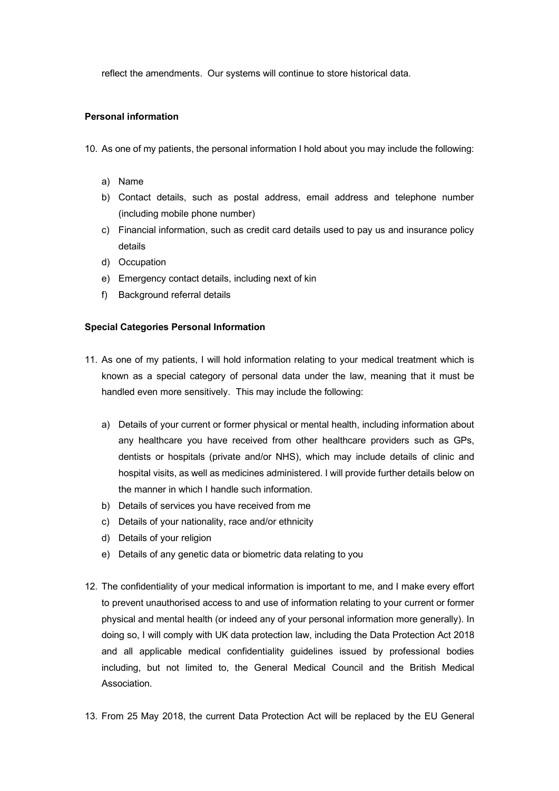reflect the amendments. Our systems will continue to store historical data.

## **Personal information**

- 10. As one of my patients, the personal information I hold about you may include the following:
	- a) Name
	- b) Contact details, such as postal address, email address and telephone number (including mobile phone number)
	- c) Financial information, such as credit card details used to pay us and insurance policy details
	- d) Occupation
	- e) Emergency contact details, including next of kin
	- f) Background referral details

### **Special Categories Personal Information**

- 11. As one of my patients, I will hold information relating to your medical treatment which is known as a special category of personal data under the law, meaning that it must be handled even more sensitively. This may include the following:
	- a) Details of your current or former physical or mental health, including information about any healthcare you have received from other healthcare providers such as GPs, dentists or hospitals (private and/or NHS), which may include details of clinic and hospital visits, as well as medicines administered. I will provide further details below on the manner in which I handle such information.
	- b) Details of services you have received from me
	- c) Details of your nationality, race and/or ethnicity
	- d) Details of your religion
	- e) Details of any genetic data or biometric data relating to you
- 12. The confidentiality of your medical information is important to me, and I make every effort to prevent unauthorised access to and use of information relating to your current or former physical and mental health (or indeed any of your personal information more generally). In doing so, I will comply with UK data protection law, including the Data Protection Act 2018 and all applicable medical confidentiality guidelines issued by professional bodies including, but not limited to, the General Medical Council and the British Medical Association.
- 13. From 25 May 2018, the current Data Protection Act will be replaced by the EU General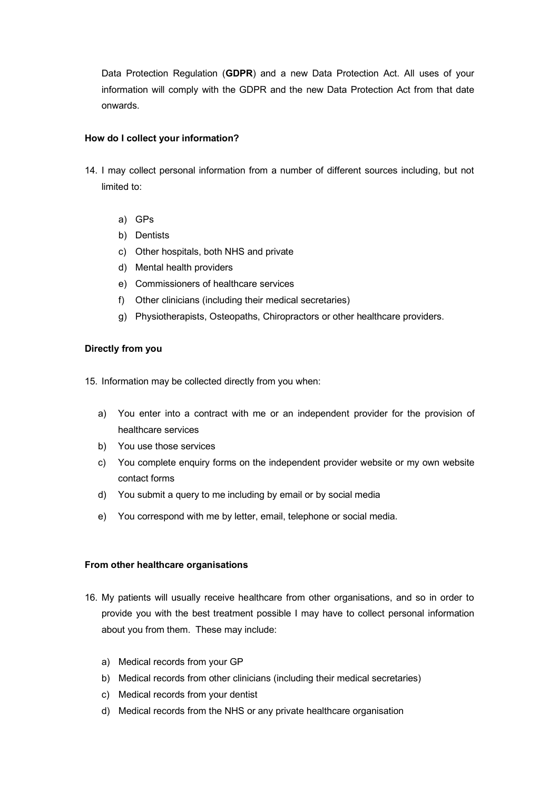Data Protection Regulation (**GDPR**) and a new Data Protection Act. All uses of your information will comply with the GDPR and the new Data Protection Act from that date onwards.

## **How do I collect your information?**

- 14. I may collect personal information from a number of different sources including, but not limited to:
	- a) GPs
	- b) Dentists
	- c) Other hospitals, both NHS and private
	- d) Mental health providers
	- e) Commissioners of healthcare services
	- f) Other clinicians (including their medical secretaries)
	- g) Physiotherapists, Osteopaths, Chiropractors or other healthcare providers.

# **Directly from you**

15. Information may be collected directly from you when:

- a) You enter into a contract with me or an independent provider for the provision of healthcare services
- b) You use those services
- c) You complete enquiry forms on the independent provider website or my own website contact forms
- d) You submit a query to me including by email or by social media
- e) You correspond with me by letter, email, telephone or social media.

# **From other healthcare organisations**

- 16. My patients will usually receive healthcare from other organisations, and so in order to provide you with the best treatment possible I may have to collect personal information about you from them. These may include:
	- a) Medical records from your GP
	- b) Medical records from other clinicians (including their medical secretaries)
	- c) Medical records from your dentist
	- d) Medical records from the NHS or any private healthcare organisation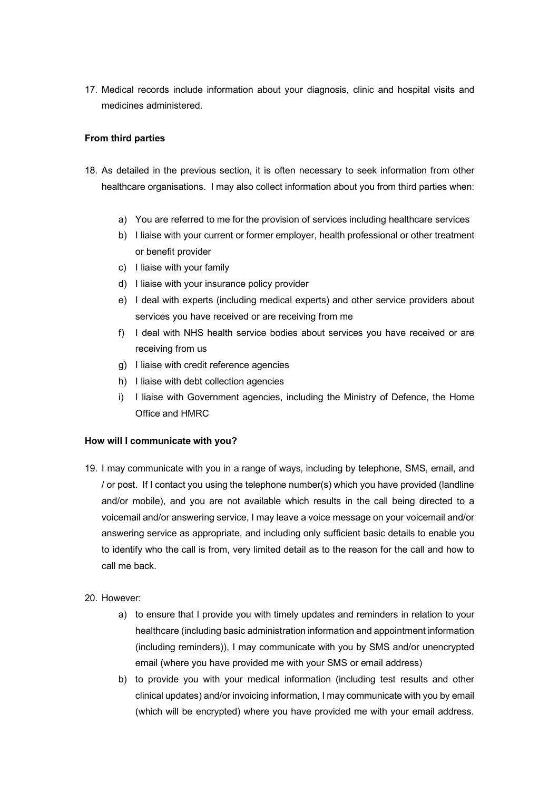17. Medical records include information about your diagnosis, clinic and hospital visits and medicines administered.

# **From third parties**

- 18. As detailed in the previous section, it is often necessary to seek information from other healthcare organisations. I may also collect information about you from third parties when:
	- a) You are referred to me for the provision of services including healthcare services
	- b) I liaise with your current or former employer, health professional or other treatment or benefit provider
	- c) I liaise with your family
	- d) I liaise with your insurance policy provider
	- e) I deal with experts (including medical experts) and other service providers about services you have received or are receiving from me
	- f) I deal with NHS health service bodies about services you have received or are receiving from us
	- g) I liaise with credit reference agencies
	- h) I liaise with debt collection agencies
	- i) I liaise with Government agencies, including the Ministry of Defence, the Home Office and HMRC

#### **How will I communicate with you?**

- 19. I may communicate with you in a range of ways, including by telephone, SMS, email, and / or post. If I contact you using the telephone number(s) which you have provided (landline and/or mobile), and you are not available which results in the call being directed to a voicemail and/or answering service, I may leave a voice message on your voicemail and/or answering service as appropriate, and including only sufficient basic details to enable you to identify who the call is from, very limited detail as to the reason for the call and how to call me back.
- 20. However:
	- a) to ensure that I provide you with timely updates and reminders in relation to your healthcare (including basic administration information and appointment information (including reminders)), I may communicate with you by SMS and/or unencrypted email (where you have provided me with your SMS or email address)
	- b) to provide you with your medical information (including test results and other clinical updates) and/or invoicing information, I may communicate with you by email (which will be encrypted) where you have provided me with your email address.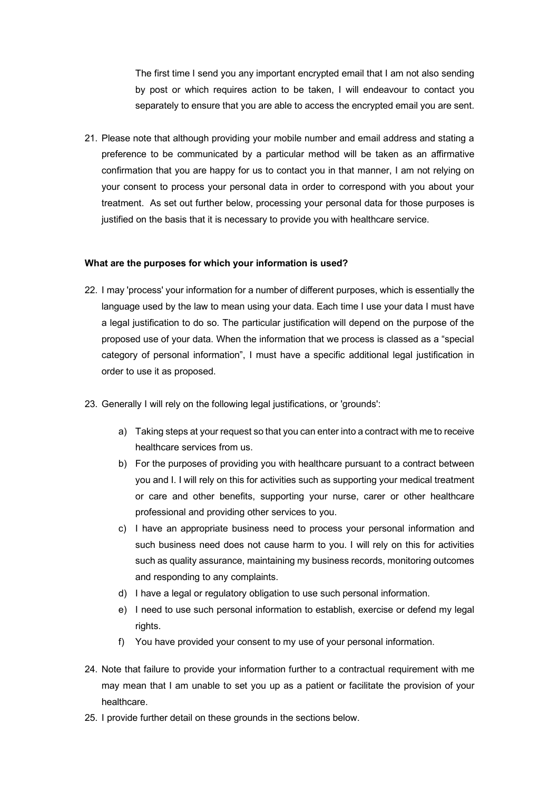The first time I send you any important encrypted email that I am not also sending by post or which requires action to be taken, I will endeavour to contact you separately to ensure that you are able to access the encrypted email you are sent.

21. Please note that although providing your mobile number and email address and stating a preference to be communicated by a particular method will be taken as an affirmative confirmation that you are happy for us to contact you in that manner, I am not relying on your consent to process your personal data in order to correspond with you about your treatment. As set out further below, processing your personal data for those purposes is justified on the basis that it is necessary to provide you with healthcare service.

### **What are the purposes for which your information is used?**

- 22. I may 'process' your information for a number of different purposes, which is essentially the language used by the law to mean using your data. Each time I use your data I must have a legal justification to do so. The particular justification will depend on the purpose of the proposed use of your data. When the information that we process is classed as a "special category of personal information", I must have a specific additional legal justification in order to use it as proposed.
- 23. Generally I will rely on the following legal justifications, or 'grounds':
	- a) Taking steps at your request so that you can enter into a contract with me to receive healthcare services from us.
	- b) For the purposes of providing you with healthcare pursuant to a contract between you and I. I will rely on this for activities such as supporting your medical treatment or care and other benefits, supporting your nurse, carer or other healthcare professional and providing other services to you.
	- c) I have an appropriate business need to process your personal information and such business need does not cause harm to you. I will rely on this for activities such as quality assurance, maintaining my business records, monitoring outcomes and responding to any complaints.
	- d) I have a legal or regulatory obligation to use such personal information.
	- e) I need to use such personal information to establish, exercise or defend my legal rights.
	- f) You have provided your consent to my use of your personal information.
- 24. Note that failure to provide your information further to a contractual requirement with me may mean that I am unable to set you up as a patient or facilitate the provision of your healthcare.
- 25. I provide further detail on these grounds in the sections below.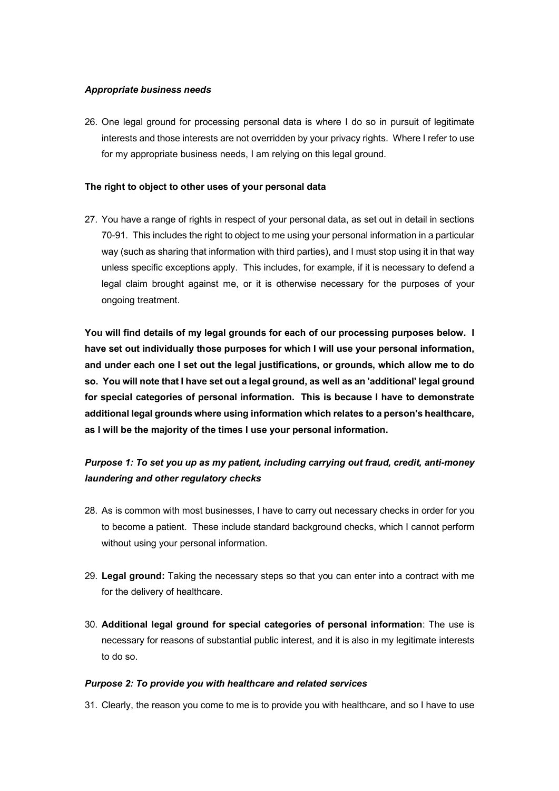## *Appropriate business needs*

26. One legal ground for processing personal data is where I do so in pursuit of legitimate interests and those interests are not overridden by your privacy rights. Where I refer to use for my appropriate business needs, I am relying on this legal ground.

# **The right to object to other uses of your personal data**

27. You have a range of rights in respect of your personal data, as set out in detail in sections 70-91. This includes the right to object to me using your personal information in a particular way (such as sharing that information with third parties), and I must stop using it in that way unless specific exceptions apply. This includes, for example, if it is necessary to defend a legal claim brought against me, or it is otherwise necessary for the purposes of your ongoing treatment.

**You will find details of my legal grounds for each of our processing purposes below. I have set out individually those purposes for which I will use your personal information, and under each one I set out the legal justifications, or grounds, which allow me to do so. You will note that I have set out a legal ground, as well as an 'additional' legal ground for special categories of personal information. This is because I have to demonstrate additional legal grounds where using information which relates to a person's healthcare, as I will be the majority of the times I use your personal information.** 

# *Purpose 1: To set you up as my patient, including carrying out fraud, credit, anti-money laundering and other regulatory checks*

- 28. As is common with most businesses, I have to carry out necessary checks in order for you to become a patient. These include standard background checks, which I cannot perform without using your personal information.
- 29. **Legal ground:** Taking the necessary steps so that you can enter into a contract with me for the delivery of healthcare.
- 30. **Additional legal ground for special categories of personal information**: The use is necessary for reasons of substantial public interest, and it is also in my legitimate interests to do so.

# *Purpose 2: To provide you with healthcare and related services*

31. Clearly, the reason you come to me is to provide you with healthcare, and so I have to use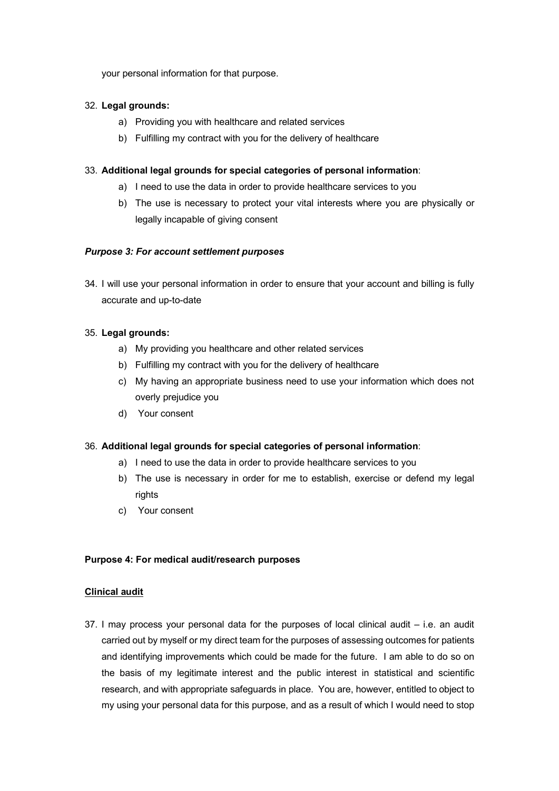your personal information for that purpose.

# 32. **Legal grounds:**

- a) Providing you with healthcare and related services
- b) Fulfilling my contract with you for the delivery of healthcare

# 33. **Additional legal grounds for special categories of personal information**:

- a) I need to use the data in order to provide healthcare services to you
- b) The use is necessary to protect your vital interests where you are physically or legally incapable of giving consent

# *Purpose 3: For account settlement purposes*

34. I will use your personal information in order to ensure that your account and billing is fully accurate and up-to-date

# 35. **Legal grounds:**

- a) My providing you healthcare and other related services
- b) Fulfilling my contract with you for the delivery of healthcare
- c) My having an appropriate business need to use your information which does not overly prejudice you
- d) Your consent

# 36. **Additional legal grounds for special categories of personal information**:

- a) I need to use the data in order to provide healthcare services to you
- b) The use is necessary in order for me to establish, exercise or defend my legal rights
- c) Your consent

# **Purpose 4: For medical audit/research purposes**

# **Clinical audit**

37. I may process your personal data for the purposes of local clinical audit – i.e. an audit carried out by myself or my direct team for the purposes of assessing outcomes for patients and identifying improvements which could be made for the future. I am able to do so on the basis of my legitimate interest and the public interest in statistical and scientific research, and with appropriate safeguards in place. You are, however, entitled to object to my using your personal data for this purpose, and as a result of which I would need to stop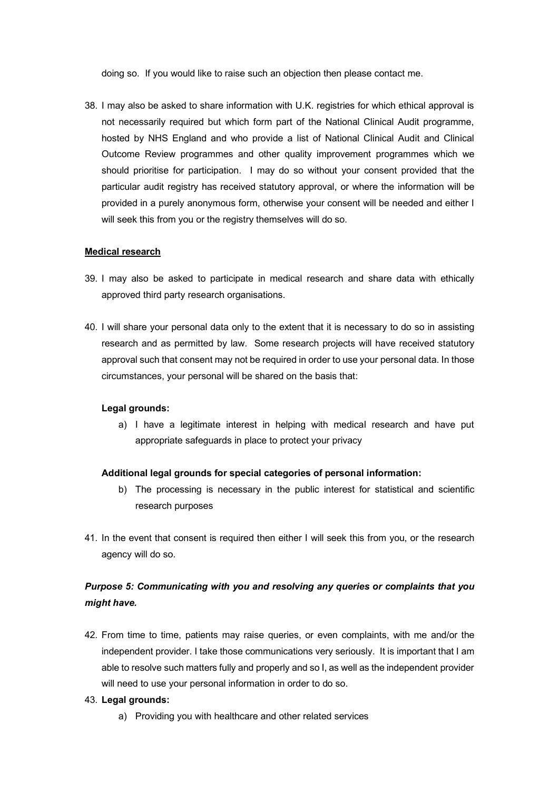doing so. If you would like to raise such an objection then please contact me.

38. I may also be asked to share information with U.K. registries for which ethical approval is not necessarily required but which form part of the National Clinical Audit programme, hosted by NHS England and who provide a list of National Clinical Audit and Clinical Outcome Review programmes and other quality improvement programmes which we should prioritise for participation. I may do so without your consent provided that the particular audit registry has received statutory approval, or where the information will be provided in a purely anonymous form, otherwise your consent will be needed and either I will seek this from you or the registry themselves will do so.

#### **Medical research**

- 39. I may also be asked to participate in medical research and share data with ethically approved third party research organisations.
- 40. I will share your personal data only to the extent that it is necessary to do so in assisting research and as permitted by law. Some research projects will have received statutory approval such that consent may not be required in order to use your personal data. In those circumstances, your personal will be shared on the basis that:

#### **Legal grounds:**

a) I have a legitimate interest in helping with medical research and have put appropriate safeguards in place to protect your privacy

#### **Additional legal grounds for special categories of personal information:**

- b) The processing is necessary in the public interest for statistical and scientific research purposes
- 41. In the event that consent is required then either I will seek this from you, or the research agency will do so.

# *Purpose 5: Communicating with you and resolving any queries or complaints that you might have.*

42. From time to time, patients may raise queries, or even complaints, with me and/or the independent provider. I take those communications very seriously. It is important that I am able to resolve such matters fully and properly and so I, as well as the independent provider will need to use your personal information in order to do so.

#### 43. **Legal grounds:**

a) Providing you with healthcare and other related services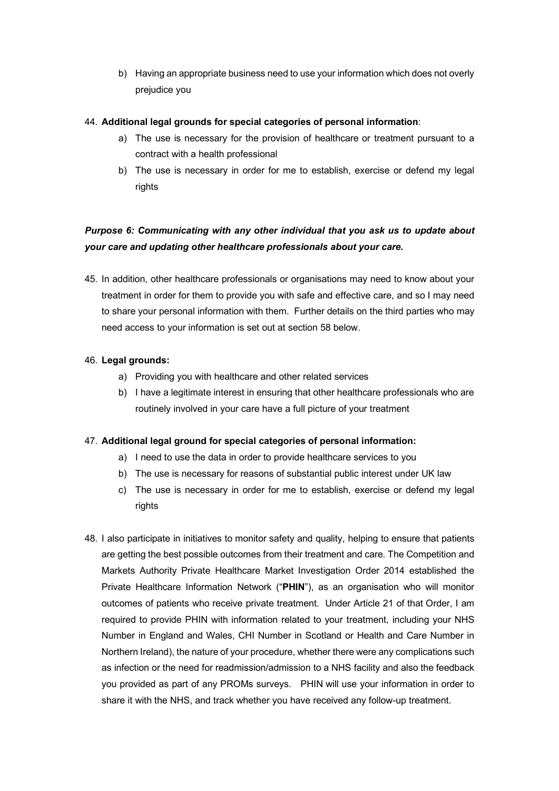b) Having an appropriate business need to use your information which does not overly prejudice you

# 44. **Additional legal grounds for special categories of personal information**:

- a) The use is necessary for the provision of healthcare or treatment pursuant to a contract with a health professional
- b) The use is necessary in order for me to establish, exercise or defend my legal rights

# *Purpose 6: Communicating with any other individual that you ask us to update about your care and updating other healthcare professionals about your care.*

45. In addition, other healthcare professionals or organisations may need to know about your treatment in order for them to provide you with safe and effective care, and so I may need to share your personal information with them. Further details on the third parties who may need access to your information is set out at section 58 below.

# 46. **Legal grounds:**

- a) Providing you with healthcare and other related services
- b) I have a legitimate interest in ensuring that other healthcare professionals who are routinely involved in your care have a full picture of your treatment

# 47. **Additional legal ground for special categories of personal information:**

- a) I need to use the data in order to provide healthcare services to you
- b) The use is necessary for reasons of substantial public interest under UK law
- c) The use is necessary in order for me to establish, exercise or defend my legal rights
- 48. I also participate in initiatives to monitor safety and quality, helping to ensure that patients are getting the best possible outcomes from their treatment and care. The Competition and Markets Authority Private Healthcare Market Investigation Order 2014 established the Private Healthcare Information Network ("**PHIN**"), as an organisation who will monitor outcomes of patients who receive private treatment. Under Article 21 of that Order, I am required to provide PHIN with information related to your treatment, including your NHS Number in England and Wales, CHI Number in Scotland or Health and Care Number in Northern Ireland), the nature of your procedure, whether there were any complications such as infection or the need for readmission/admission to a NHS facility and also the feedback you provided as part of any PROMs surveys. PHIN will use your information in order to share it with the NHS, and track whether you have received any follow-up treatment.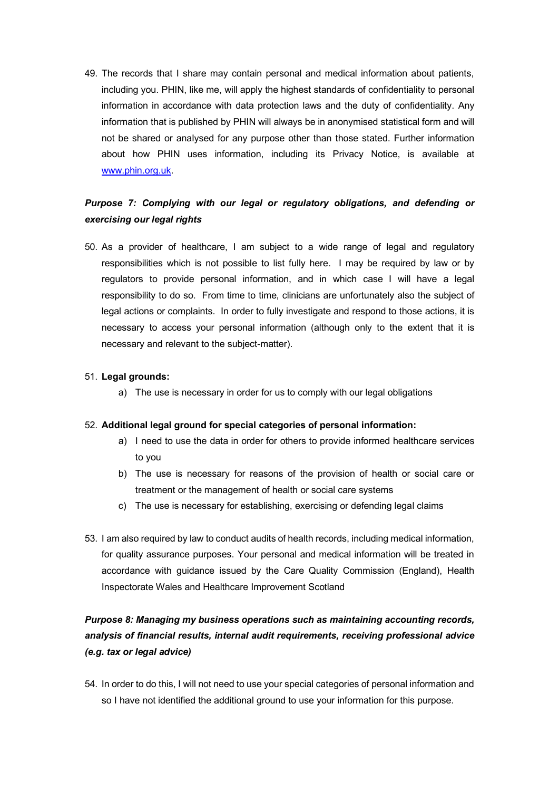49. The records that I share may contain personal and medical information about patients, including you. PHIN, like me, will apply the highest standards of confidentiality to personal information in accordance with data protection laws and the duty of confidentiality. Any information that is published by PHIN will always be in anonymised statistical form and will not be shared or analysed for any purpose other than those stated. Further information about how PHIN uses information, including its Privacy Notice, is available at www.phin.org.uk.

# *Purpose 7: Complying with our legal or regulatory obligations, and defending or exercising our legal rights*

50. As a provider of healthcare, I am subject to a wide range of legal and regulatory responsibilities which is not possible to list fully here. I may be required by law or by regulators to provide personal information, and in which case I will have a legal responsibility to do so. From time to time, clinicians are unfortunately also the subject of legal actions or complaints. In order to fully investigate and respond to those actions, it is necessary to access your personal information (although only to the extent that it is necessary and relevant to the subject-matter).

# 51. **Legal grounds:**

a) The use is necessary in order for us to comply with our legal obligations

### 52. **Additional legal ground for special categories of personal information:**

- a) I need to use the data in order for others to provide informed healthcare services to you
- b) The use is necessary for reasons of the provision of health or social care or treatment or the management of health or social care systems
- c) The use is necessary for establishing, exercising or defending legal claims
- 53. I am also required by law to conduct audits of health records, including medical information, for quality assurance purposes. Your personal and medical information will be treated in accordance with guidance issued by the Care Quality Commission (England), Health Inspectorate Wales and Healthcare Improvement Scotland

# *Purpose 8: Managing my business operations such as maintaining accounting records, analysis of financial results, internal audit requirements, receiving professional advice (e.g. tax or legal advice)*

54. In order to do this, I will not need to use your special categories of personal information and so I have not identified the additional ground to use your information for this purpose.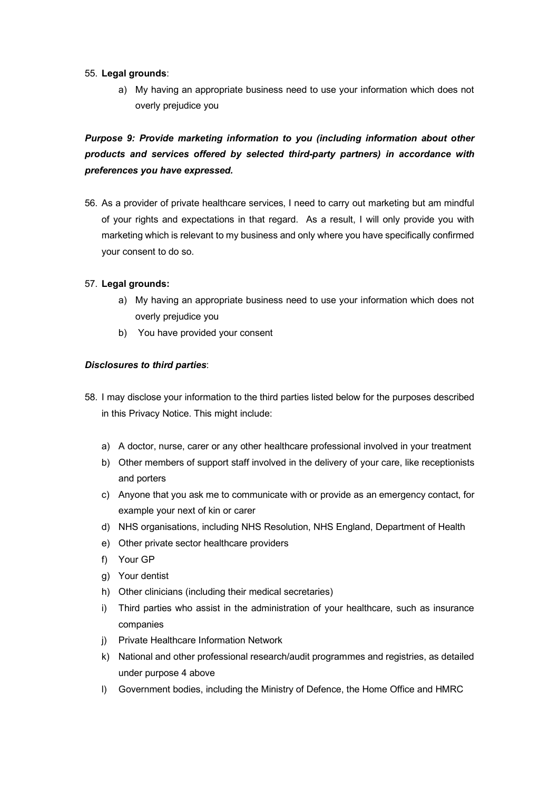# 55. **Legal grounds**:

a) My having an appropriate business need to use your information which does not overly prejudice you

# *Purpose 9: Provide marketing information to you (including information about other products and services offered by selected third-party partners) in accordance with preferences you have expressed.*

56. As a provider of private healthcare services, I need to carry out marketing but am mindful of your rights and expectations in that regard. As a result, I will only provide you with marketing which is relevant to my business and only where you have specifically confirmed your consent to do so.

# 57. **Legal grounds:**

- a) My having an appropriate business need to use your information which does not overly prejudice you
- b) You have provided your consent

# *Disclosures to third parties*:

- 58. I may disclose your information to the third parties listed below for the purposes described in this Privacy Notice. This might include:
	- a) A doctor, nurse, carer or any other healthcare professional involved in your treatment
	- b) Other members of support staff involved in the delivery of your care, like receptionists and porters
	- c) Anyone that you ask me to communicate with or provide as an emergency contact, for example your next of kin or carer
	- d) NHS organisations, including NHS Resolution, NHS England, Department of Health
	- e) Other private sector healthcare providers
	- f) Your GP
	- g) Your dentist
	- h) Other clinicians (including their medical secretaries)
	- i) Third parties who assist in the administration of your healthcare, such as insurance companies
	- j) Private Healthcare Information Network
	- k) National and other professional research/audit programmes and registries, as detailed under purpose 4 above
	- l) Government bodies, including the Ministry of Defence, the Home Office and HMRC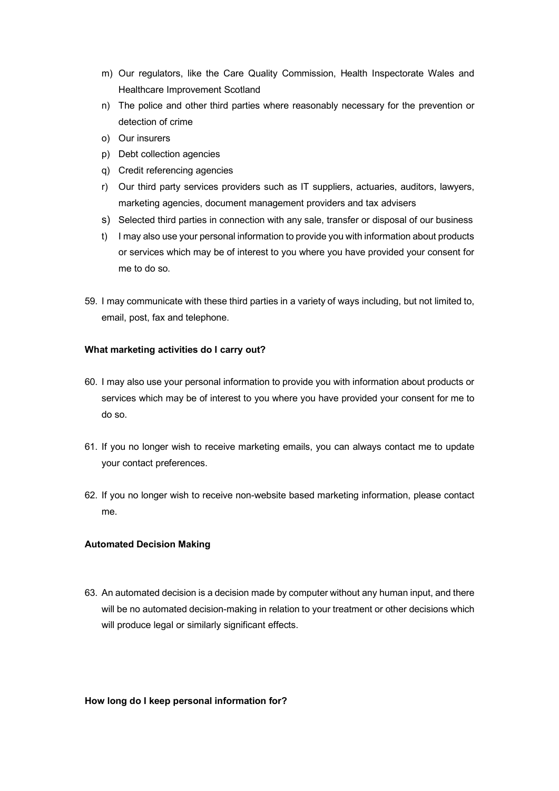- m) Our regulators, like the Care Quality Commission, Health Inspectorate Wales and Healthcare Improvement Scotland
- n) The police and other third parties where reasonably necessary for the prevention or detection of crime
- o) Our insurers
- p) Debt collection agencies
- q) Credit referencing agencies
- r) Our third party services providers such as IT suppliers, actuaries, auditors, lawyers, marketing agencies, document management providers and tax advisers
- s) Selected third parties in connection with any sale, transfer or disposal of our business
- t) I may also use your personal information to provide you with information about products or services which may be of interest to you where you have provided your consent for me to do so.
- 59. I may communicate with these third parties in a variety of ways including, but not limited to, email, post, fax and telephone.

# **What marketing activities do I carry out?**

- 60. I may also use your personal information to provide you with information about products or services which may be of interest to you where you have provided your consent for me to do so.
- 61. If you no longer wish to receive marketing emails, you can always contact me to update your contact preferences.
- 62. If you no longer wish to receive non-website based marketing information, please contact me.

# **Automated Decision Making**

63. An automated decision is a decision made by computer without any human input, and there will be no automated decision-making in relation to your treatment or other decisions which will produce legal or similarly significant effects.

# **How long do I keep personal information for?**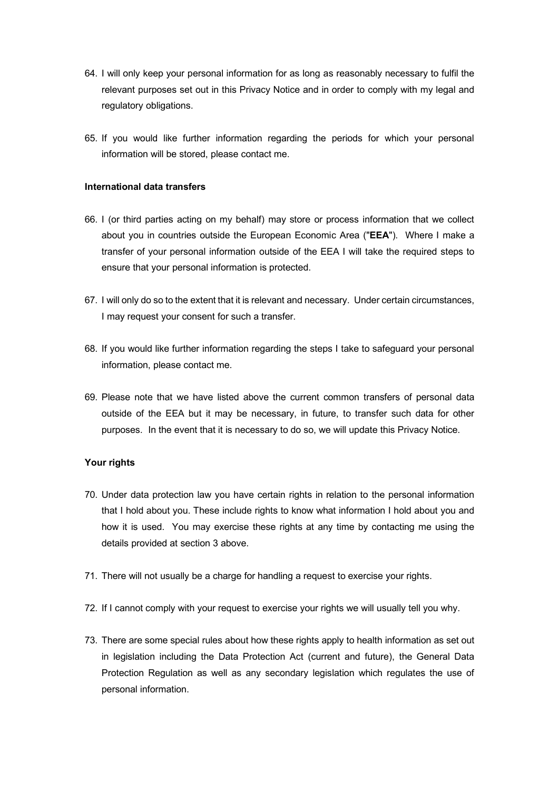- 64. I will only keep your personal information for as long as reasonably necessary to fulfil the relevant purposes set out in this Privacy Notice and in order to comply with my legal and regulatory obligations.
- 65. If you would like further information regarding the periods for which your personal information will be stored, please contact me.

### **International data transfers**

- 66. I (or third parties acting on my behalf) may store or process information that we collect about you in countries outside the European Economic Area ("**EEA**"). Where I make a transfer of your personal information outside of the EEA I will take the required steps to ensure that your personal information is protected.
- 67. I will only do so to the extent that it is relevant and necessary. Under certain circumstances, I may request your consent for such a transfer.
- 68. If you would like further information regarding the steps I take to safeguard your personal information, please contact me.
- 69. Please note that we have listed above the current common transfers of personal data outside of the EEA but it may be necessary, in future, to transfer such data for other purposes. In the event that it is necessary to do so, we will update this Privacy Notice.

#### **Your rights**

- 70. Under data protection law you have certain rights in relation to the personal information that I hold about you. These include rights to know what information I hold about you and how it is used. You may exercise these rights at any time by contacting me using the details provided at section 3 above.
- 71. There will not usually be a charge for handling a request to exercise your rights.
- 72. If I cannot comply with your request to exercise your rights we will usually tell you why.
- 73. There are some special rules about how these rights apply to health information as set out in legislation including the Data Protection Act (current and future), the General Data Protection Regulation as well as any secondary legislation which regulates the use of personal information.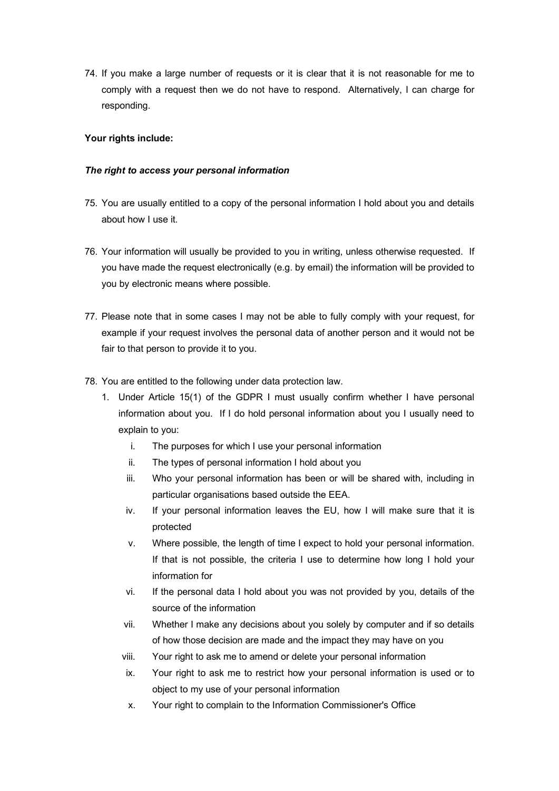74. If you make a large number of requests or it is clear that it is not reasonable for me to comply with a request then we do not have to respond. Alternatively, I can charge for responding.

# **Your rights include:**

# *The right to access your personal information*

- 75. You are usually entitled to a copy of the personal information I hold about you and details about how I use it.
- 76. Your information will usually be provided to you in writing, unless otherwise requested. If you have made the request electronically (e.g. by email) the information will be provided to you by electronic means where possible.
- 77. Please note that in some cases I may not be able to fully comply with your request, for example if your request involves the personal data of another person and it would not be fair to that person to provide it to you.
- 78. You are entitled to the following under data protection law.
	- 1. Under Article 15(1) of the GDPR I must usually confirm whether I have personal information about you. If I do hold personal information about you I usually need to explain to you:
		- i. The purposes for which I use your personal information
		- ii. The types of personal information I hold about you
		- iii. Who your personal information has been or will be shared with, including in particular organisations based outside the EEA.
		- iv. If your personal information leaves the EU, how I will make sure that it is protected
		- v. Where possible, the length of time I expect to hold your personal information. If that is not possible, the criteria I use to determine how long I hold your information for
		- vi. If the personal data I hold about you was not provided by you, details of the source of the information
		- vii. Whether I make any decisions about you solely by computer and if so details of how those decision are made and the impact they may have on you
		- viii. Your right to ask me to amend or delete your personal information
		- ix. Your right to ask me to restrict how your personal information is used or to object to my use of your personal information
		- x. Your right to complain to the Information Commissioner's Office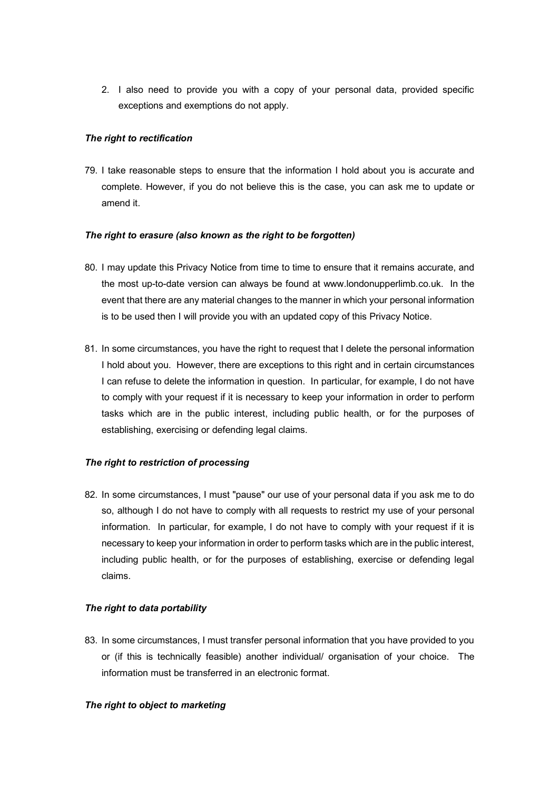2. I also need to provide you with a copy of your personal data, provided specific exceptions and exemptions do not apply.

# *The right to rectification*

79. I take reasonable steps to ensure that the information I hold about you is accurate and complete. However, if you do not believe this is the case, you can ask me to update or amend it.

### *The right to erasure (also known as the right to be forgotten)*

- 80. I may update this Privacy Notice from time to time to ensure that it remains accurate, and the most up-to-date version can always be found at www.londonupperlimb.co.uk. In the event that there are any material changes to the manner in which your personal information is to be used then I will provide you with an updated copy of this Privacy Notice.
- 81. In some circumstances, you have the right to request that I delete the personal information I hold about you. However, there are exceptions to this right and in certain circumstances I can refuse to delete the information in question. In particular, for example, I do not have to comply with your request if it is necessary to keep your information in order to perform tasks which are in the public interest, including public health, or for the purposes of establishing, exercising or defending legal claims.

# *The right to restriction of processing*

82. In some circumstances, I must "pause" our use of your personal data if you ask me to do so, although I do not have to comply with all requests to restrict my use of your personal information. In particular, for example, I do not have to comply with your request if it is necessary to keep your information in order to perform tasks which are in the public interest, including public health, or for the purposes of establishing, exercise or defending legal claims.

# *The right to data portability*

83. In some circumstances, I must transfer personal information that you have provided to you or (if this is technically feasible) another individual/ organisation of your choice. The information must be transferred in an electronic format.

#### *The right to object to marketing*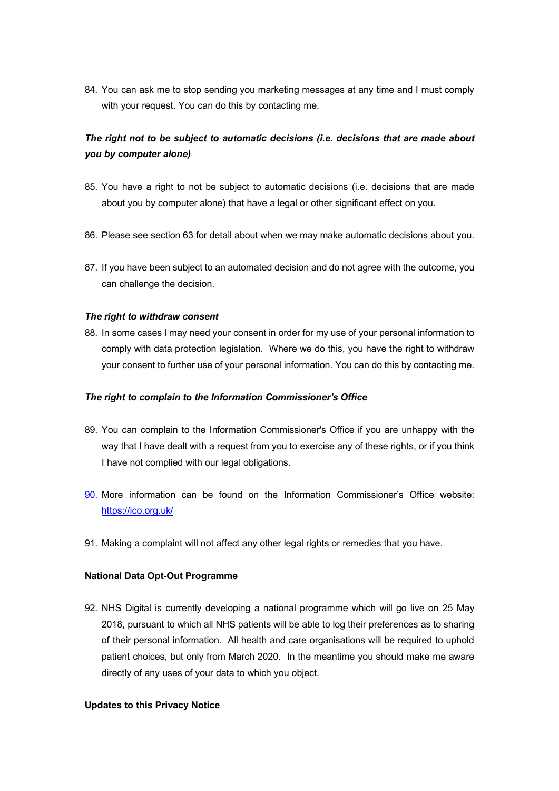84. You can ask me to stop sending you marketing messages at any time and I must comply with your request. You can do this by contacting me.

# *The right not to be subject to automatic decisions (i.e. decisions that are made about you by computer alone)*

- 85. You have a right to not be subject to automatic decisions (i.e. decisions that are made about you by computer alone) that have a legal or other significant effect on you.
- 86. Please see section 63 for detail about when we may make automatic decisions about you.
- 87. If you have been subject to an automated decision and do not agree with the outcome, you can challenge the decision.

### *The right to withdraw consent*

88. In some cases I may need your consent in order for my use of your personal information to comply with data protection legislation. Where we do this, you have the right to withdraw your consent to further use of your personal information. You can do this by contacting me.

#### *The right to complain to the Information Commissioner's Office*

- 89. You can complain to the Information Commissioner's Office if you are unhappy with the way that I have dealt with a request from you to exercise any of these rights, or if you think I have not complied with our legal obligations.
- 90. More information can be found on the Information Commissioner's Office website: https://ico.org.uk/
- 91. Making a complaint will not affect any other legal rights or remedies that you have.

# **National Data Opt-Out Programme**

92. NHS Digital is currently developing a national programme which will go live on 25 May 2018, pursuant to which all NHS patients will be able to log their preferences as to sharing of their personal information. All health and care organisations will be required to uphold patient choices, but only from March 2020. In the meantime you should make me aware directly of any uses of your data to which you object.

#### **Updates to this Privacy Notice**